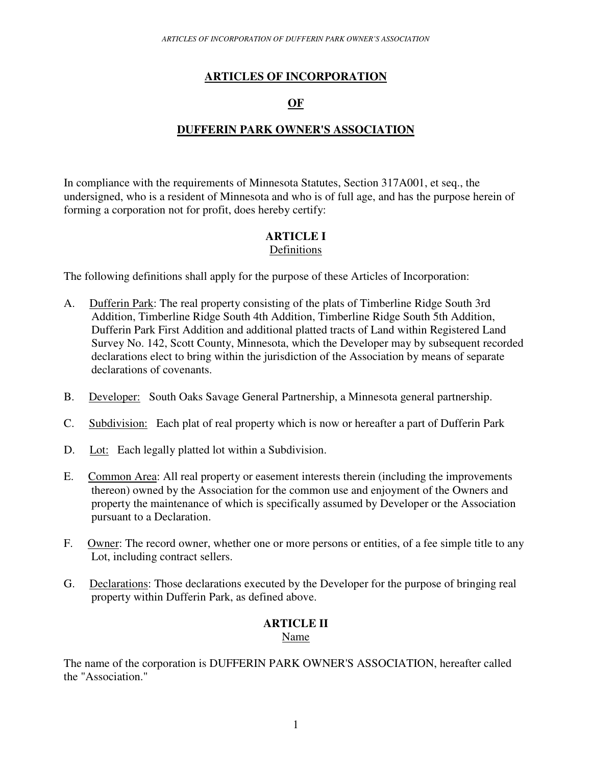# **ARTICLES OF INCORPORATION**

# **OF**

# **DUFFERIN PARK OWNER'S ASSOCIATION**

In compliance with the requirements of Minnesota Statutes, Section 317A001, et seq., the undersigned, who is a resident of Minnesota and who is of full age, and has the purpose herein of forming a corporation not for profit, does hereby certify:

#### **ARTICLE I**  Definitions

The following definitions shall apply for the purpose of these Articles of Incorporation:

- A. Dufferin Park: The real property consisting of the plats of Timberline Ridge South 3rd Addition, Timberline Ridge South 4th Addition, Timberline Ridge South 5th Addition, Dufferin Park First Addition and additional platted tracts of Land within Registered Land Survey No. 142, Scott County, Minnesota, which the Developer may by subsequent recorded declarations elect to bring within the jurisdiction of the Association by means of separate declarations of covenants.
- B. Developer: South Oaks Savage General Partnership, a Minnesota general partnership.
- C. Subdivision: Each plat of real property which is now or hereafter a part of Dufferin Park
- D. Lot: Each legally platted lot within a Subdivision.
- E. Common Area: All real property or easement interests therein (including the improvements thereon) owned by the Association for the common use and enjoyment of the Owners and property the maintenance of which is specifically assumed by Developer or the Association pursuant to a Declaration.
- F. Owner: The record owner, whether one or more persons or entities, of a fee simple title to any Lot, including contract sellers.
- G. Declarations: Those declarations executed by the Developer for the purpose of bringing real property within Dufferin Park, as defined above.

# **ARTICLE II**

Name

The name of the corporation is DUFFERIN PARK OWNER'S ASSOCIATION, hereafter called the "Association."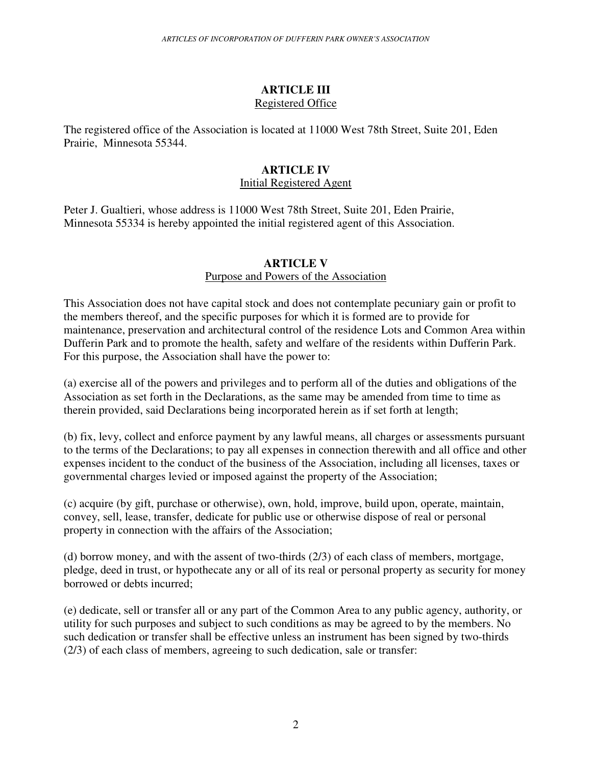### **ARTICLE III**  Registered Office

The registered office of the Association is located at 11000 West 78th Street, Suite 201, Eden Prairie, Minnesota 55344.

# **ARTICLE IV**

### Initial Registered Agent

Peter J. Gualtieri, whose address is 11000 West 78th Street, Suite 201, Eden Prairie, Minnesota 55334 is hereby appointed the initial registered agent of this Association.

## **ARTICLE V**

## Purpose and Powers of the Association

This Association does not have capital stock and does not contemplate pecuniary gain or profit to the members thereof, and the specific purposes for which it is formed are to provide for maintenance, preservation and architectural control of the residence Lots and Common Area within Dufferin Park and to promote the health, safety and welfare of the residents within Dufferin Park. For this purpose, the Association shall have the power to:

(a) exercise all of the powers and privileges and to perform all of the duties and obligations of the Association as set forth in the Declarations, as the same may be amended from time to time as therein provided, said Declarations being incorporated herein as if set forth at length;

(b) fix, levy, collect and enforce payment by any lawful means, all charges or assessments pursuant to the terms of the Declarations; to pay all expenses in connection therewith and all office and other expenses incident to the conduct of the business of the Association, including all licenses, taxes or governmental charges levied or imposed against the property of the Association;

(c) acquire (by gift, purchase or otherwise), own, hold, improve, build upon, operate, maintain, convey, sell, lease, transfer, dedicate for public use or otherwise dispose of real or personal property in connection with the affairs of the Association;

(d) borrow money, and with the assent of two-thirds (2/3) of each class of members, mortgage, pledge, deed in trust, or hypothecate any or all of its real or personal property as security for money borrowed or debts incurred;

(e) dedicate, sell or transfer all or any part of the Common Area to any public agency, authority, or utility for such purposes and subject to such conditions as may be agreed to by the members. No such dedication or transfer shall be effective unless an instrument has been signed by two-thirds (2/3) of each class of members, agreeing to such dedication, sale or transfer: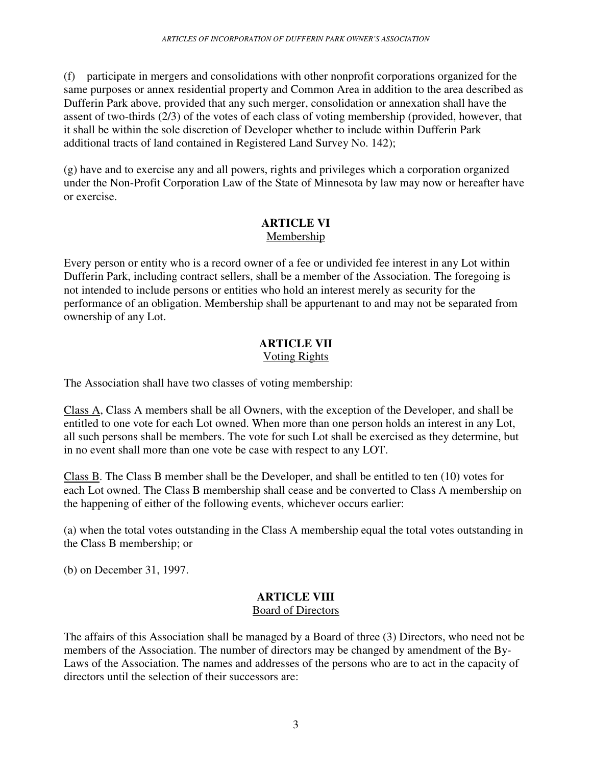(f) participate in mergers and consolidations with other nonprofit corporations organized for the same purposes or annex residential property and Common Area in addition to the area described as Dufferin Park above, provided that any such merger, consolidation or annexation shall have the assent of two-thirds (2/3) of the votes of each class of voting membership (provided, however, that it shall be within the sole discretion of Developer whether to include within Dufferin Park additional tracts of land contained in Registered Land Survey No. 142);

(g) have and to exercise any and all powers, rights and privileges which a corporation organized under the Non-Profit Corporation Law of the State of Minnesota by law may now or hereafter have or exercise.

### **ARTICLE VI**  Membership

Every person or entity who is a record owner of a fee or undivided fee interest in any Lot within Dufferin Park, including contract sellers, shall be a member of the Association. The foregoing is not intended to include persons or entities who hold an interest merely as security for the performance of an obligation. Membership shall be appurtenant to and may not be separated from ownership of any Lot.

## **ARTICLE VII**  Voting Rights

The Association shall have two classes of voting membership:

Class A, Class A members shall be all Owners, with the exception of the Developer, and shall be entitled to one vote for each Lot owned. When more than one person holds an interest in any Lot, all such persons shall be members. The vote for such Lot shall be exercised as they determine, but in no event shall more than one vote be case with respect to any LOT.

Class B. The Class B member shall be the Developer, and shall be entitled to ten (10) votes for each Lot owned. The Class B membership shall cease and be converted to Class A membership on the happening of either of the following events, whichever occurs earlier:

(a) when the total votes outstanding in the Class A membership equal the total votes outstanding in the Class B membership; or

(b) on December 31, 1997.

## **ARTICLE VIII**  Board of Directors

The affairs of this Association shall be managed by a Board of three (3) Directors, who need not be members of the Association. The number of directors may be changed by amendment of the By-Laws of the Association. The names and addresses of the persons who are to act in the capacity of directors until the selection of their successors are: